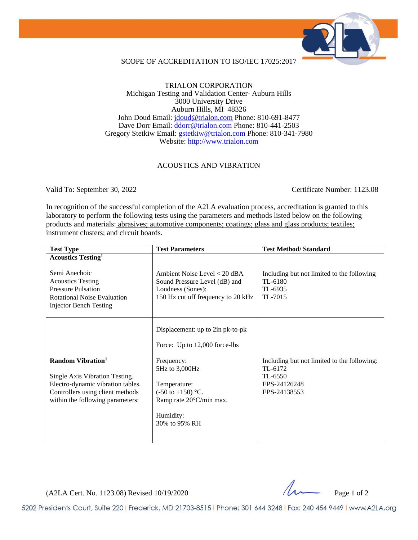

### SCOPE OF ACCREDITATION TO ISO/IEC 17025:2017

### TRIALON CORPORATION Michigan Testing and Validation Center- Auburn Hills 3000 University Drive Auburn Hills, MI 48326 John Doud Email: [jdoud@trialon.com](mailto:jdoud@trialon.com) Phone: 810-691-8477 Dave Dorr Email: [ddorr@trialon.com](mailto:ddorr@trialon.com) Phone: 810-441-2503 Gregory Stetkiw Email: [gstetkiw@trialon.com](mailto:gstetkiw@trialon.com) Phone: 810-341-7980 Website: [http://www.trialon.com](http://www.trialon.com/)

### ACOUSTICS AND VIBRATION

Valid To: September 30, 2022 Certificate Number: 1123.08

In recognition of the successful completion of the A2LA evaluation process, accreditation is granted to this laboratory to perform the following tests using the parameters and methods listed below on the following products and materials: abrasives; automotive components; coatings; glass and glass products; textiles; instrument clusters; and circuit boards.

| <b>Test Type</b>                                                                                                                                                                       | <b>Test Parameters</b>                                                                                                                                                                                     | <b>Test Method/Standard</b>                                                                       |
|----------------------------------------------------------------------------------------------------------------------------------------------------------------------------------------|------------------------------------------------------------------------------------------------------------------------------------------------------------------------------------------------------------|---------------------------------------------------------------------------------------------------|
| <b>Acoustics Testing</b> <sup>1</sup><br>Semi Anechoic<br><b>Acoustics Testing</b><br><b>Pressure Pulsation</b><br><b>Rotational Noise Evaluation</b><br><b>Injector Bench Testing</b> | Ambient Noise Level < 20 dBA<br>Sound Pressure Level (dB) and<br>Loudness (Sones):<br>150 Hz cut off frequency to 20 kHz                                                                                   | Including but not limited to the following<br>TL-6180<br>TL-6935<br>TL-7015                       |
| Random Vibration <sup>1</sup><br>Single Axis Vibration Testing.<br>Electro-dynamic vibration tables.<br>Controllers using client methods<br>within the following parameters:           | Displacement: up to 2in pk-to-pk<br>Force: Up to 12,000 force-lbs<br>Frequency:<br>5Hz to 3,000Hz<br>Temperature:<br>$(-50 \text{ to } +150)$ °C.<br>Ramp rate 20°C/min max.<br>Humidity:<br>30% to 95% RH | Including but not limited to the following:<br>TL-6172<br>TL-6550<br>EPS-24126248<br>EPS-24138553 |

 $(A2LA$  Cert. No. 1123.08) Revised 10/19/2020

5202 Presidents Court, Suite 220 | Frederick, MD 21703-8515 | Phone: 301 644 3248 | Fax: 240 454 9449 | www.A2LA.org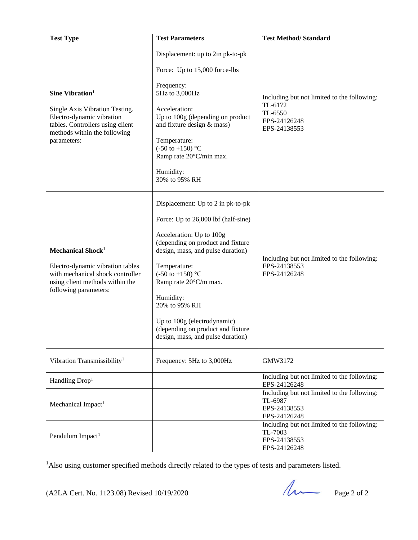| <b>Test Type</b>                                                                                                                                                              | <b>Test Parameters</b>                                                                                                                                                                                                                                                                                                                                                                        | <b>Test Method/Standard</b>                                                                       |
|-------------------------------------------------------------------------------------------------------------------------------------------------------------------------------|-----------------------------------------------------------------------------------------------------------------------------------------------------------------------------------------------------------------------------------------------------------------------------------------------------------------------------------------------------------------------------------------------|---------------------------------------------------------------------------------------------------|
| Sine Vibration <sup>1</sup><br>Single Axis Vibration Testing.<br>Electro-dynamic vibration<br>tables. Controllers using client<br>methods within the following<br>parameters: | Displacement: up to 2in pk-to-pk<br>Force: Up to 15,000 force-lbs<br>Frequency:<br>5Hz to 3,000Hz<br>Acceleration:<br>Up to 100g (depending on product<br>and fixture design & mass)<br>Temperature:<br>$(-50 \text{ to } +150)$ °C<br>Ramp rate 20°C/min max.<br>Humidity:<br>30% to 95% RH                                                                                                  | Including but not limited to the following:<br>TL-6172<br>TL-6550<br>EPS-24126248<br>EPS-24138553 |
| Mechanical Shock <sup>1</sup><br>Electro-dynamic vibration tables<br>with mechanical shock controller<br>using client methods within the<br>following parameters:             | Displacement: Up to 2 in pk-to-pk<br>Force: Up to 26,000 lbf (half-sine)<br>Acceleration: Up to 100g<br>(depending on product and fixture<br>design, mass, and pulse duration)<br>Temperature:<br>$(-50 \text{ to } +150)$ °C<br>Ramp rate 20°C/m max.<br>Humidity:<br>20% to 95% RH<br>Up to 100g (electrodynamic)<br>(depending on product and fixture<br>design, mass, and pulse duration) | Including but not limited to the following:<br>EPS-24138553<br>EPS-24126248                       |
| Vibration Transmissibility <sup>1</sup>                                                                                                                                       | Frequency: 5Hz to 3,000Hz                                                                                                                                                                                                                                                                                                                                                                     | GMW3172                                                                                           |
| Handling Drop <sup>1</sup>                                                                                                                                                    |                                                                                                                                                                                                                                                                                                                                                                                               | Including but not limited to the following:<br>EPS-24126248                                       |
| Mechanical Impact <sup>1</sup>                                                                                                                                                |                                                                                                                                                                                                                                                                                                                                                                                               | Including but not limited to the following:<br>TL-6987<br>EPS-24138553<br>EPS-24126248            |
| Pendulum Impact <sup>1</sup>                                                                                                                                                  |                                                                                                                                                                                                                                                                                                                                                                                               | Including but not limited to the following:<br>TL-7003<br>EPS-24138553<br>EPS-24126248            |

<sup>1</sup>Also using customer specified methods directly related to the types of tests and parameters listed.